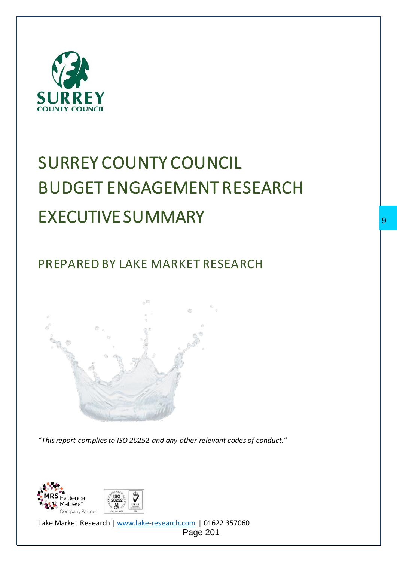

# SURREY COUNTY COUNCIL BUDGET ENGAGEMENT RESEARCH EXECUTIVE SUMMARY

PREPARED BY LAKE MARKET RESEARCH





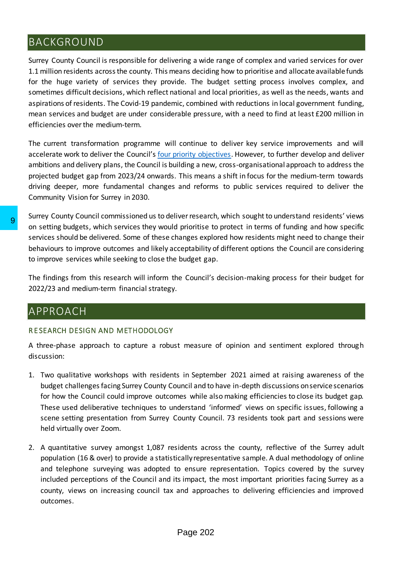## BACKGROUND

Surrey County Council is responsible for delivering a wide range of complex and varied services for over 1.1 million residents across the county. This means deciding how to prioritise and allocate available funds for the huge variety of services they provide. The budget setting process involves complex, and sometimes difficult decisions, which reflect national and local priorities, as well as the needs, wants and aspirations of residents. The Covid-19 pandemic, combined with reductions in local government funding, mean services and budget are under considerable pressure, with a need to find at least £200 million in efficiencies over the medium-term.

The current transformation programme will continue to deliver key service improvements and will accelerate work to deliver the Council's [four priority objectives.](https://www.surreycc.gov.uk/council-and-democracy/finance-and-performance/our-performance/our-organisation-strategy/2021-to-2026#panel-5) However, to further develop and deliver ambitions and delivery plans, the Council is building a new, cross-organisational approach to address the projected budget gap from 2023/24 onwards. This means a shift in focus for the medium-term towards driving deeper, more fundamental changes and reforms to public services required to deliver the Community Vision for Surrey in 2030.

Surrey County Council commissioned us to deliver research, which sought to understand residents' views on setting budgets, which services they would prioritise to protect in terms of funding and how specific services should be delivered. Some of these changes explored how residents might need to change their behaviours to improve outcomes and likely acceptability of different options the Council are considering to improve services while seeking to close the budget gap.

The findings from this research will inform the Council's decision-making process for their budget for 2022/23 and medium-term financial strategy.

## APPROACH

### R E SEARCH DESIGN AND METHODOLOGY

A three-phase approach to capture a robust measure of opinion and sentiment explored through discussion:

- 1. Two qualitative workshops with residents in September 2021 aimed at raising awareness of the budget challenges facing Surrey County Council and to have in-depth discussions on service scenarios for how the Council could improve outcomes while also making efficiencies to close its budget gap. These used deliberative techniques to understand 'informed' views on specific issues, following a scene setting presentation from Surrey County Council. 73 residents took part and sessions were held virtually over Zoom.
- 2. A quantitative survey amongst 1,087 residents across the county, reflective of the Surrey adult population (16 & over) to provide a statistically representative sample. A dual methodology of online and telephone surveying was adopted to ensure representation. Topics covered by the survey included perceptions of the Council and its impact, the most important priorities facing Surrey as a county, views on increasing council tax and approaches to delivering efficiencies and improved outcomes. 9<br>
on setting budgets, which services they would prioritise to<br>
services should be delivered. Some of these changes explo<br>
behaviours to improve outcomes and likely acceptability to<br>
to improve services while seeking to cl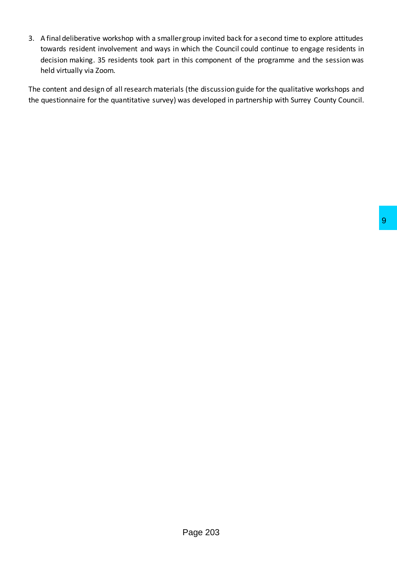3. A final deliberative workshop with a smaller group invited back for a second time to explore attitudes towards resident involvement and ways in which the Council could continue to engage residents in decision making. 35 residents took part in this component of the programme and the session was held virtually via Zoom.

The content and design of all research materials (the discussion guide for the qualitative workshops and the questionnaire for the quantitative survey) was developed in partnership with Surrey County Council.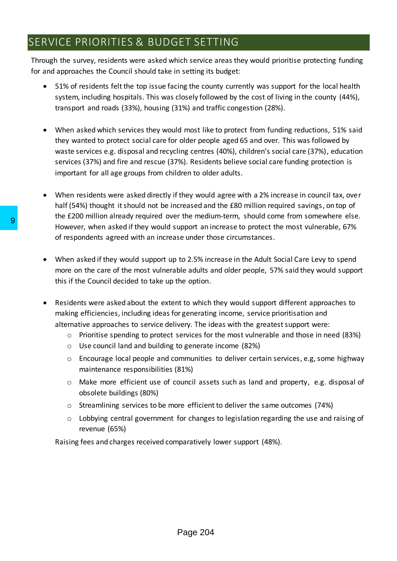## SERVICE PRIORITIES & BUDGET SETTING

Through the survey, residents were asked which service areas they would prioritise protecting funding for and approaches the Council should take in setting its budget:

- 51% of residents felt the top issue facing the county currently was support for the local health system, including hospitals. This was closely followed by the cost of living in the county (44%), transport and roads (33%), housing (31%) and traffic congestion (28%).
- When asked which services they would most like to protect from funding reductions, 51% said they wanted to protect social care for older people aged 65 and over. This was followed by waste services e.g. disposal and recycling centres (40%), children's social care (37%), education services (37%) and fire and rescue (37%). Residents believe social care funding protection is important for all age groups from children to older adults.
- When residents were asked directly if they would agree with a 2% increase in council tax, over half (54%) thought it should not be increased and the £80 million required savings, on top of the £200 million already required over the medium-term, should come from somewhere else. However, when asked if they would support an increase to protect the most vulnerable, 67% of respondents agreed with an increase under those circumstances.
- When asked if they would support up to 2.5% increase in the Adult Social Care Levy to spend more on the care of the most vulnerable adults and older people, 57% said they would support this if the Council decided to take up the option. 9<br>
However, when asked if they would support an interaction<br>
of respondents agreed with an increase under the<br>
• When asked if they would support up to 2.5% incore<br>
more on the care of the most vulnerable adults a<br>
this
	- Residents were asked about the extent to which they would support different approaches to making efficiencies, including ideas for generating income, service prioritisation and alternative approaches to service delivery. The ideas with the greatest support were:
		- o Prioritise spending to protect services for the most vulnerable and those in need (83%)
		- o Use council land and building to generate income (82%)
		- $\circ$  Encourage local people and communities to deliver certain services, e.g, some highway maintenance responsibilities (81%)
		- o Make more efficient use of council assets such as land and property, e.g. disposal of obsolete buildings (80%)
		- o Streamlining services to be more efficient to deliver the same outcomes (74%)
		- o Lobbying central government for changes to legislation regarding the use and raising of revenue (65%)

Raising fees and charges received comparatively lower support (48%).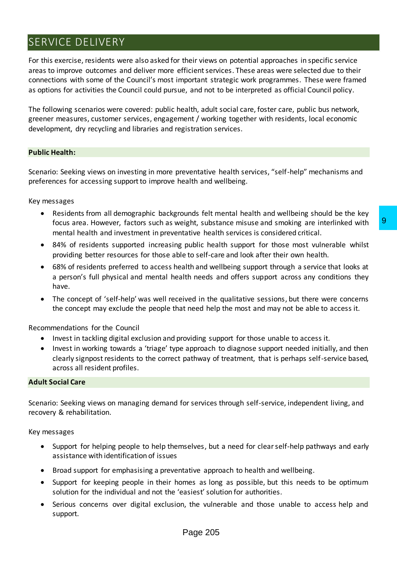## SERVICE DELIVERY

For this exercise, residents were also asked for their views on potential approaches in specific service areas to improve outcomes and deliver more efficient services. These areas were selected due to their connections with some of the Council's most important strategic work programmes. These were framed as options for activities the Council could pursue, and not to be interpreted as official Council policy.

The following scenarios were covered: public health, adult social care, foster care, public bus network, greener measures, customer services, engagement / working together with residents, local economic development, dry recycling and libraries and registration services.

#### **Public Health:**

Scenario: Seeking views on investing in more preventative health services, "self-help" mechanisms and preferences for accessing support to improve health and wellbeing.

Key messages

- Residents from all demographic backgrounds felt mental health and wellbeing should be the key focus area. However, factors such as weight, substance misuse and smoking are interlinked with mental health and investment in preventative health services is considered critical.
- 84% of residents supported increasing public health support for those most vulnerable whilst providing better resources for those able to self-care and look after their own health.
- 68% of residents preferred to access health and wellbeing support through a service that looks at a person's full physical and mental health needs and offers support across any conditions they have. eight, substance misuse and smoking are interlinked with<br>19 public health services is considered critical.<br>
20 public health support for those most vulnerable whilst<br>
et to self-care and look after their own health.<br>
2011
- The concept of 'self-help' was well received in the qualitative sessions, but there were concerns the concept may exclude the people that need help the most and may not be able to access it.

Recommendations for the Council

- Invest in tackling digital exclusion and providing support for those unable to access it.
- Invest in working towards a 'triage' type approach to diagnose support needed initially, and then clearly signpost residents to the correct pathway of treatment, that is perhaps self-service based, across all resident profiles.

#### **Adult Social Care**

Scenario: Seeking views on managing demand for services through self-service, independent living, and recovery & rehabilitation.

Key messages

- Support for helping people to help themselves, but a need for clear self-help pathways and early assistance with identification of issues
- Broad support for emphasising a preventative approach to health and wellbeing.
- Support for keeping people in their homes as long as possible, but this needs to be optimum solution for the individual and not the 'easiest' solution for authorities.
- Serious concerns over digital exclusion, the vulnerable and those unable to access help and support.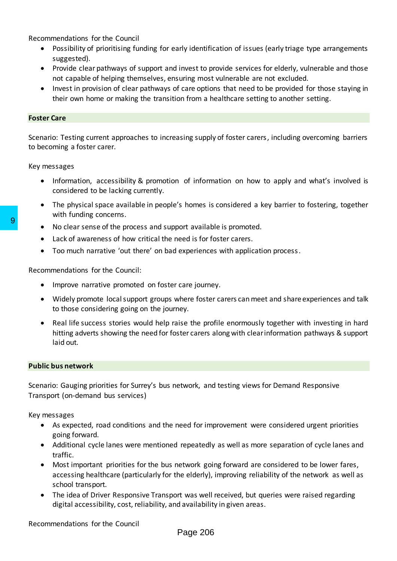Recommendations for the Council

- Possibility of prioritising funding for early identification of issues (early triage type arrangements suggested).
- Provide clear pathways of support and invest to provide services for elderly, vulnerable and those not capable of helping themselves, ensuring most vulnerable are not excluded.
- Invest in provision of clear pathways of care options that need to be provided for those staying in their own home or making the transition from a healthcare setting to another setting.

#### **Foster Care**

Scenario: Testing current approaches to increasing supply of foster carers, including overcoming barriers to becoming a foster carer.

Key messages

- Information, accessibility & promotion of information on how to apply and what's involved is considered to be lacking currently.
- The physical space available in people's homes is considered a key barrier to fostering, together with funding concerns.
- No clear sense of the process and support available is promoted.
- Lack of awareness of how critical the need is for foster carers.
- Too much narrative 'out there' on bad experiences with application process.

Recommendations for the Council:

- Improve narrative promoted on foster care journey.
- Widely promote local support groups where foster carers can meet and share experiences and talk to those considering going on the journey.
- Real life success stories would help raise the profile enormously together with investing in hard hitting adverts showing the need for foster carers along with clear information pathways & support laid out. 9<br>
■ No clear sense of the process and support availab<br>
■ Lack of awareness of how critical the need is for for<br>
■ Too much narrative 'out there' on bad experience<br>
Recommendations for the Council:<br>
■ Improve narrative pr

#### **Public bus network**

Scenario: Gauging priorities for Surrey's bus network, and testing views for Demand Responsive Transport (on-demand bus services)

Key messages

- As expected, road conditions and the need for improvement were considered urgent priorities going forward.
- Additional cycle lanes were mentioned repeatedly as well as more separation of cycle lanes and traffic.
- Most important priorities for the bus network going forward are considered to be lower fares, accessing healthcare (particularly for the elderly), improving reliability of the network as well as school transport.
- The idea of Driver Responsive Transport was well received, but queries were raised regarding digital accessibility, cost, reliability, and availability in given areas.

Recommendations for the Council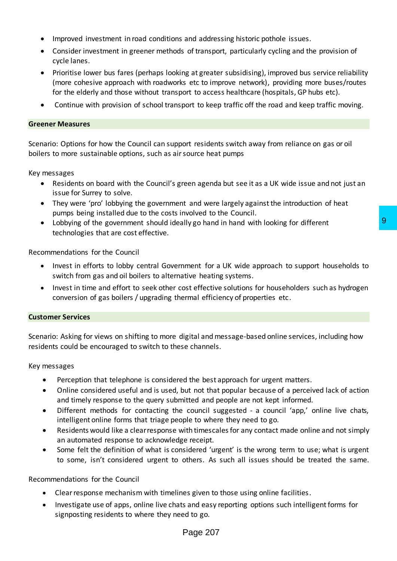- Improved investment in road conditions and addressing historic pothole issues.
- Consider investment in greener methods of transport, particularly cycling and the provision of cycle lanes.
- Prioritise lower bus fares (perhaps looking at greater subsidising), improved bus service reliability (more cohesive approach with roadworks etc to improve network), providing more buses/routes for the elderly and those without transport to access healthcare (hospitals, GP hubs etc).
- Continue with provision of school transport to keep traffic off the road and keep traffic moving.

#### **Greener Measures**

Scenario: Options for how the Council can support residents switch away from reliance on gas or oil boilers to more sustainable options, such as air source heat pumps

Key messages

- Residents on board with the Council's green agenda but see it as a UK wide issue and not just an issue for Surrey to solve.
- They were 'pro' lobbying the government and were largely against the introduction of heat pumps being installed due to the costs involved to the Council.
- Lobbying of the government should ideally go hand in hand with looking for different technologies that are cost effective.

Recommendations for the Council

- Invest in efforts to lobby central Government for a UK wide approach to support households to switch from gas and oil boilers to alternative heating systems. Illy go hand in hand with looking for different<br>
9<br>
Inment for a UK wide approach to support households to<br>
tivic heating systems.<br>
Sost effective solutions for householders such as hydrogen<br>
Irranl efficiency of propertie
- Invest in time and effort to seek other cost effective solutions for householders such as hydrogen conversion of gas boilers / upgrading thermal efficiency of properties etc.

#### **Customer Services**

Scenario: Asking for views on shifting to more digital and message-based online services, including how residents could be encouraged to switch to these channels.

Key messages

- Perception that telephone is considered the best approach for urgent matters.
- Online considered useful and is used, but not that popular because of a perceived lack of action and timely response to the query submitted and people are not kept informed.
- Different methods for contacting the council suggested a council 'app,' online live chats, intelligent online forms that triage people to where they need to go.
- Residents would like a clear response with timescales for any contact made online and not simply an automated response to acknowledge receipt.
- Some felt the definition of what is considered 'urgent' is the wrong term to use; what is urgent to some, isn't considered urgent to others. As such all issues should be treated the same.

Recommendations for the Council

- Clear response mechanism with timelines given to those using online facilities.
- Investigate use of apps, online live chats and easy reporting options such intelligent forms for signposting residents to where they need to go.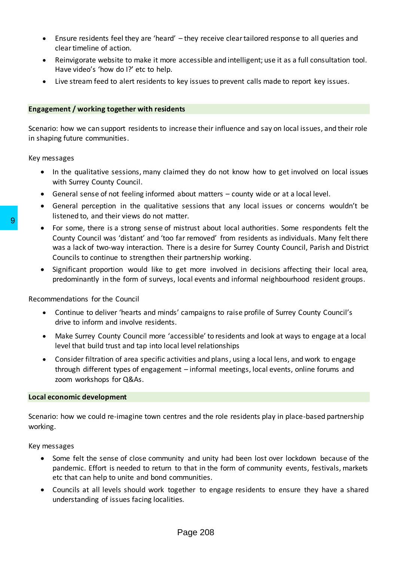- Ensure residents feel they are 'heard' they receive clear tailored response to all queries and clear timeline of action.
- Reinvigorate website to make it more accessible and intelligent; use it as a full consultation tool. Have video's 'how do I?' etc to help.
- Live stream feed to alert residents to key issues to prevent calls made to report key issues.

#### **Engagement / working together with residents**

Scenario: how we can support residents to increase their influence and say on local issues, and their role in shaping future communities.

Key messages

- In the qualitative sessions, many claimed they do not know how to get involved on local issues with Surrey County Council.
- General sense of not feeling informed about matters county wide or at a local level.
- General perception in the qualitative sessions that any local issues or concerns wouldn't be listened to, and their views do not matter.
- For some, there is a strong sense of mistrust about local authorities. Some respondents felt the County Council was 'distant' and 'too far removed' from residents as individuals. Many felt there was a lack of two-way interaction. There is a desire for Surrey County Council, Parish and District Councils to continue to strengthen their partnership working. 9<br>
• For some, there is a strong sense of mistrust abo<br>
• For some, there is a strong sense of mistrust abo<br>
countly Council was 'distant' and 'too far removed<br>
was a lack of two-way interaction. There is a dest<br>
Councils
	- Significant proportion would like to get more involved in decisions affecting their local area, predominantly in the form of surveys, local events and informal neighbourhood resident groups.

Recommendations for the Council

- Continue to deliver 'hearts and minds' campaigns to raise profile of Surrey County Council's drive to inform and involve residents.
- Make Surrey County Council more 'accessible' to residents and look at ways to engage at a local level that build trust and tap into local level relationships
- Consider filtration of area specific activities and plans, using a local lens, and work to engage through different types of engagement – informal meetings, local events, online forums and zoom workshops for Q&As.

#### **Local economic development**

Scenario: how we could re-imagine town centres and the role residents play in place-based partnership working.

Key messages

- Some felt the sense of close community and unity had been lost over lockdown because of the pandemic. Effort is needed to return to that in the form of community events, festivals, markets etc that can help to unite and bond communities.
- Councils at all levels should work together to engage residents to ensure they have a shared understanding of issues facing localities.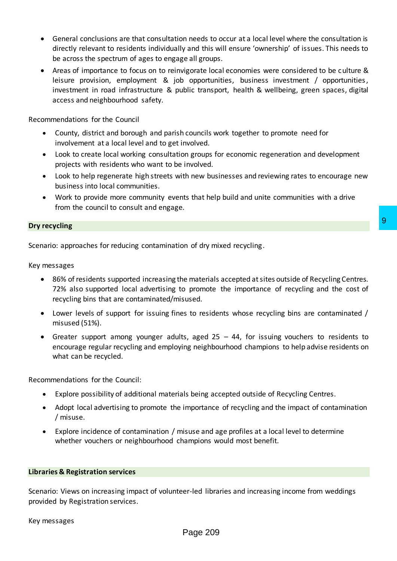- General conclusions are that consultation needs to occur at a local level where the consultation is directly relevant to residents individually and this will ensure 'ownership' of issues. This needs to be across the spectrum of ages to engage all groups.
- Areas of importance to focus on to reinvigorate local economies were considered to be culture & leisure provision, employment & job opportunities, business investment / opportunities, investment in road infrastructure & public transport, health & wellbeing, green spaces, digital access and neighbourhood safety.

Recommendations for the Council

- County, district and borough and parish councils work together to promote need for involvement at a local level and to get involved.
- Look to create local working consultation groups for economic regeneration and development projects with residents who want to be involved.
- Look to help regenerate high streets with new businesses and reviewing rates to encourage new business into local communities.
- Work to provide more community events that help build and unite communities with a drive from the council to consult and engage.

#### **Dry recycling**

Scenario: approaches for reducing contamination of dry mixed recycling.

Key messages

- 86% of residents supported increasing the materials accepted at sites outside of Recycling Centres. 72% also supported local advertising to promote the importance of recycling and the cost of recycling bins that are contaminated/misused.
- Lower levels of support for issuing fines to residents whose recycling bins are contaminated / misused (51%).
- Greater support among younger adults, aged 25 44, for issuing vouchers to residents to encourage regular recycling and employing neighbourhood champions to help advise residents on what can be recycled. 9<br>
In of dry mixed recycling.<br>
Le materials accepted at sites outside of Recycling Centres.<br>
20 promote the importance of recycling and the cost of<br>
1<br>
25, aged 25 – 44, for issuing vouchers to residents to<br>
1<br>
3, aged 25

Recommendations for the Council:

- Explore possibility of additional materials being accepted outside of Recycling Centres.
- Adopt local advertising to promote the importance of recycling and the impact of contamination / misuse.
- Explore incidence of contamination / misuse and age profiles at a local level to determine whether vouchers or neighbourhood champions would most benefit.

#### **Libraries & Registration services**

Scenario: Views on increasing impact of volunteer-led libraries and increasing income from weddings provided by Registration services.

#### Key messages